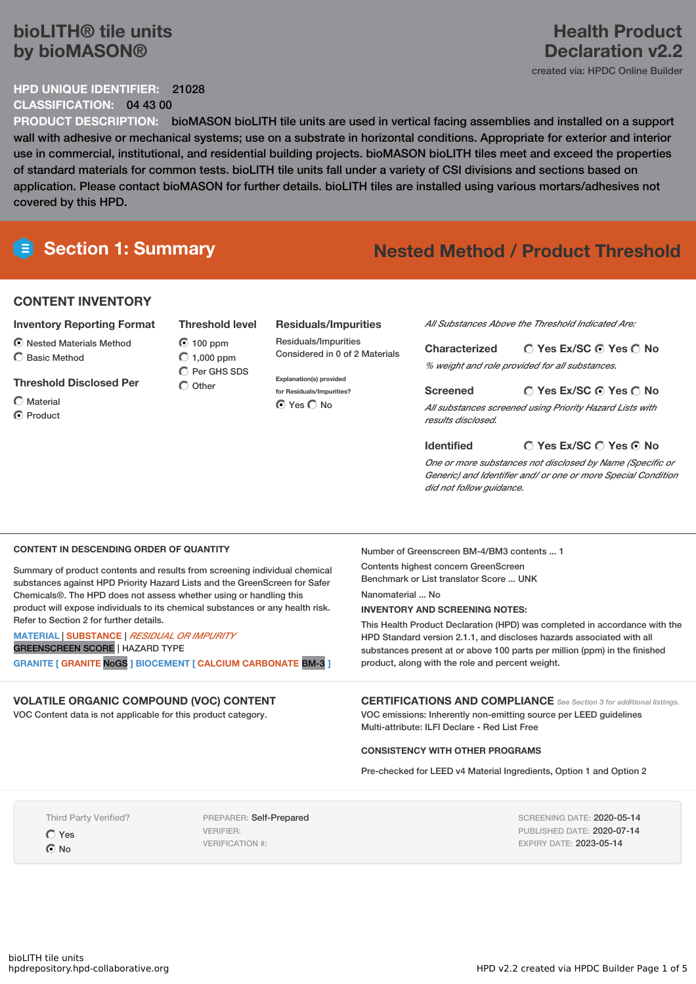# **bioLITH® tile units by bioMASON®**

### **HPD UNIQUE IDENTIFIER:** 21028 **CLASSIFICATION:** 04 43 00

**PRODUCT DESCRIPTION:** bioMASON bioLITH tile units are used in vertical facing assemblies and installed on a support wall with adhesive or mechanical systems; use on a substrate in horizontal conditions. Appropriate for exterior and interior use in commercial, institutional, and residential building projects. bioMASON bioLITH tiles meet and exceed the properties of standard materials for common tests. bioLITH tile units fall under a variety of CSI divisions and sections based on application. Please contact bioMASON for further details. bioLITH tiles are installed using various mortars/adhesives not covered by this HPD.

# **Section 1: Summary Nested Method / Product Threshold**

# **CONTENT INVENTORY**

- **Inventory Reporting Format**
- Nested Materials Method
- $\bigcirc$  Basic Method
- **Threshold Disclosed Per**
- $\bigcap$  Material C Product

**Threshold level 6** 100 ppm  $\bigcirc$  1,000 ppm  $\bigcap$  Per GHS SDS

 $\bigcirc$  Other

**Residuals/Impurities** Residuals/Impurities Considered in 0 of 2 Materials

**Explanation(s) provided for Residuals/Impurities?** ⊙ Yes O No

*All Substances Above the Threshold Indicated Are:*

**Yes Ex/SC Yes No Characterized** *% weight and role provided for all substances.*

**Yes Ex/SC Yes No Screened** *All substances screened using Priority Hazard Lists with results disclosed.*

**Yes Ex/SC Yes No Identified** *One or more substances not disclosed by Name (Specific or Generic) and Identifier and/ or one or more Special Condition did not follow guidance.*

### **CONTENT IN DESCENDING ORDER OF QUANTITY**

Summary of product contents and results from screening individual chemical substances against HPD Priority Hazard Lists and the GreenScreen for Safer Chemicals®. The HPD does not assess whether using or handling this product will expose individuals to its chemical substances or any health risk. Refer to Section 2 for further details.

**MATERIAL** | **SUBSTANCE** | *RESIDUAL OR IMPURITY* GREENSCREEN SCORE | HAZARD TYPE **GRANITE [ GRANITE** NoGS **] BIOCEMENT [ CALCIUM CARBONATE** BM-3 **]**

# **VOLATILE ORGANIC COMPOUND (VOC) CONTENT**

VOC Content data is not applicable for this product category.

Number of Greenscreen BM-4/BM3 contents ... 1 Contents highest concern GreenScreen Benchmark or List translator Score ... UNK Nanomaterial ... No

# **INVENTORY AND SCREENING NOTES:**

This Health Product Declaration (HPD) was completed in accordance with the HPD Standard version 2.1.1, and discloses hazards associated with all substances present at or above 100 parts per million (ppm) in the finished product, along with the role and percent weight.

**CERTIFICATIONS AND COMPLIANCE** *See Section <sup>3</sup> for additional listings.* VOC emissions: Inherently non-emitting source per LEED guidelines Multi-attribute: ILFI Declare - Red List Free

# **CONSISTENCY WITH OTHER PROGRAMS**

Pre-checked for LEED v4 Material Ingredients, Option 1 and Option 2

Third Party Verified?

Yes No

PREPARER: Self-Prepared VERIFIER: VERIFICATION #:

SCREENING DATE: 2020-05-14 PUBLISHED DATE: 2020-07-14 EXPIRY DATE: 2023-05-14

# **Health Product Declaration v2.2**

created via: HPDC Online Builder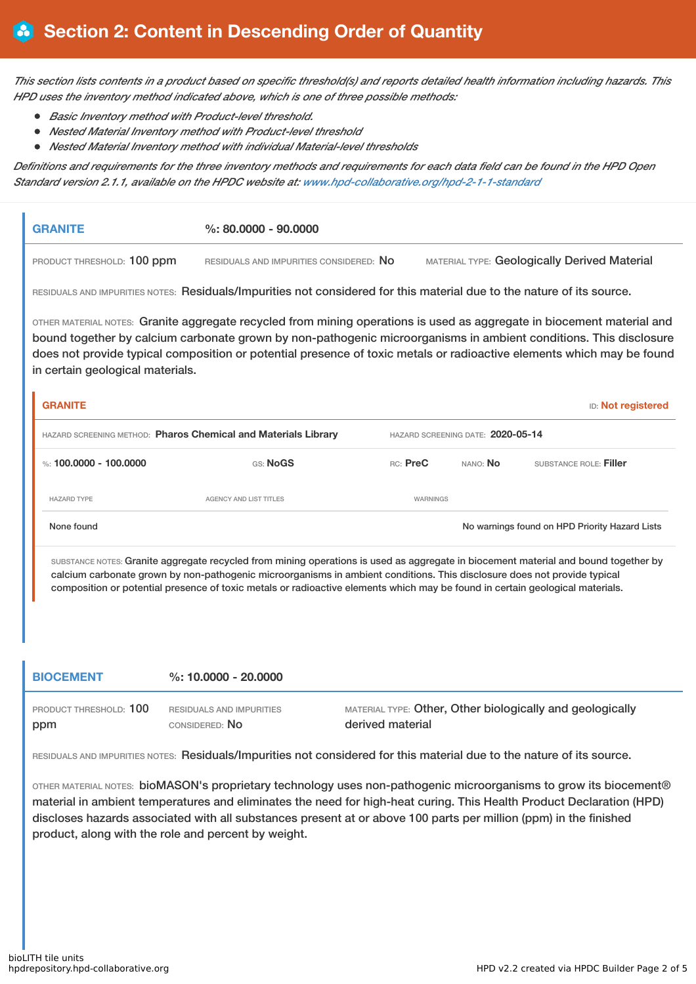This section lists contents in a product based on specific threshold(s) and reports detailed health information including hazards. This *HPD uses the inventory method indicated above, which is one of three possible methods:*

- *Basic Inventory method with Product-level threshold.*
- *Nested Material Inventory method with Product-level threshold*
- *Nested Material Inventory method with individual Material-level thresholds*

Definitions and requirements for the three inventory methods and requirements for each data field can be found in the HPD Open *Standard version 2.1.1, available on the HPDC website at: [www.hpd-collaborative.org/hpd-2-1-1-standard](https://www.hpd-collaborative.org/hpd-2-1-1-standard)*

| <b>GRANITE</b>                                                 | $\%$ : 80.0000 - 90.0000                                                                                                                                                                                                                                                                                                                                             |          |                                   |                                                     |
|----------------------------------------------------------------|----------------------------------------------------------------------------------------------------------------------------------------------------------------------------------------------------------------------------------------------------------------------------------------------------------------------------------------------------------------------|----------|-----------------------------------|-----------------------------------------------------|
| PRODUCT THRESHOLD: 100 ppm                                     | RESIDUALS AND IMPURITIES CONSIDERED: NO                                                                                                                                                                                                                                                                                                                              |          |                                   | <b>MATERIAL TYPE: Geologically Derived Material</b> |
|                                                                | RESIDUALS AND IMPURITIES NOTES: Residuals/Impurities not considered for this material due to the nature of its source.                                                                                                                                                                                                                                               |          |                                   |                                                     |
| in certain geological materials.                               | OTHER MATERIAL NOTES: Granite aggregate recycled from mining operations is used as aggregate in biocement material and<br>bound together by calcium carbonate grown by non-pathogenic microorganisms in ambient conditions. This disclosure<br>does not provide typical composition or potential presence of toxic metals or radioactive elements which may be found |          |                                   |                                                     |
| <b>GRANITE</b>                                                 |                                                                                                                                                                                                                                                                                                                                                                      |          |                                   | <b>ID: Not registered</b>                           |
| HAZARD SCREENING METHOD: Pharos Chemical and Materials Library |                                                                                                                                                                                                                                                                                                                                                                      |          | HAZARD SCREENING DATE: 2020-05-14 |                                                     |
|                                                                |                                                                                                                                                                                                                                                                                                                                                                      |          |                                   |                                                     |
| %: 100,0000 - 100,0000                                         | GS: NoGS                                                                                                                                                                                                                                                                                                                                                             | RC: PreC | NANO: No                          | SUBSTANCE ROLE: Filler                              |
| <b>HAZARD TYPE</b>                                             | <b>AGENCY AND LIST TITLES</b>                                                                                                                                                                                                                                                                                                                                        | WARNINGS |                                   |                                                     |
| None found                                                     |                                                                                                                                                                                                                                                                                                                                                                      |          |                                   | No warnings found on HPD Priority Hazard Lists      |

calcium carbonate grown by non-pathogenic microorganisms in ambient conditions. This disclosure does not provide typical composition or potential presence of toxic metals or radioactive elements which may be found in certain geological materials.

| <b>BIOCEMENT</b>       | $\%$ : 10.0000 - 20.0000 |                                                           |
|------------------------|--------------------------|-----------------------------------------------------------|
| PRODUCT THRESHOLD: 100 | RESIDUALS AND IMPURITIES | MATERIAL TYPE: Other, Other biologically and geologically |
| ppm                    | CONSIDERED: NO           | derived material                                          |

RESIDUALS AND IMPURITIES NOTES: Residuals/Impurities not considered for this material due to the nature of its source.

OTHER MATERIAL NOTES: bioMASON's proprietary technology uses non-pathogenic microorganisms to grow its biocement® material in ambient temperatures and eliminates the need for high-heat curing. This Health Product Declaration (HPD) discloses hazards associated with all substances present at or above 100 parts per million (ppm) in the finished product, along with the role and percent by weight.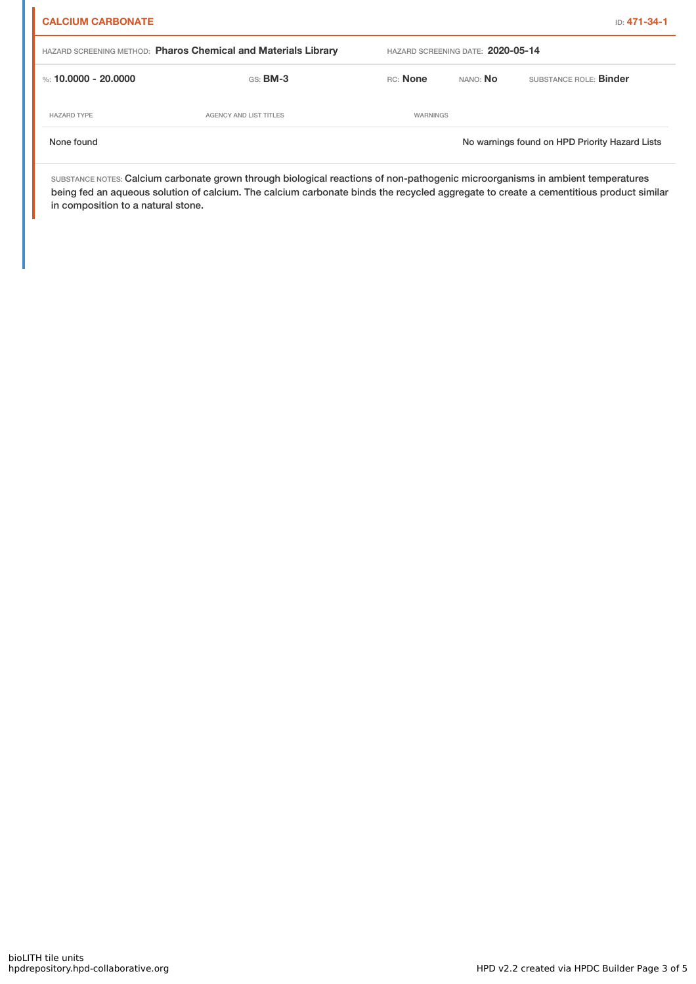| <b>CALCIUM CARBONATE</b> |                                                                |          |                                   | ID: 471-34-1                                   |
|--------------------------|----------------------------------------------------------------|----------|-----------------------------------|------------------------------------------------|
|                          | HAZARD SCREENING METHOD: Pharos Chemical and Materials Library |          | HAZARD SCREENING DATE: 2020-05-14 |                                                |
| %: 10.0000 - 20.0000     | $GS:$ BM-3                                                     | RC: None | nano: <b>No</b>                   | SUBSTANCE ROLE: Binder                         |
| <b>HAZARD TYPE</b>       | <b>AGENCY AND LIST TITLES</b>                                  | WARNINGS |                                   |                                                |
| None found               |                                                                |          |                                   | No warnings found on HPD Priority Hazard Lists |

SUBSTANCE NOTES: Calcium carbonate grown through biological reactions of non-pathogenic microorganisms in ambient temperatures being fed an aqueous solution of calcium. The calcium carbonate binds the recycled aggregate to create a cementitious product similar in composition to a natural stone.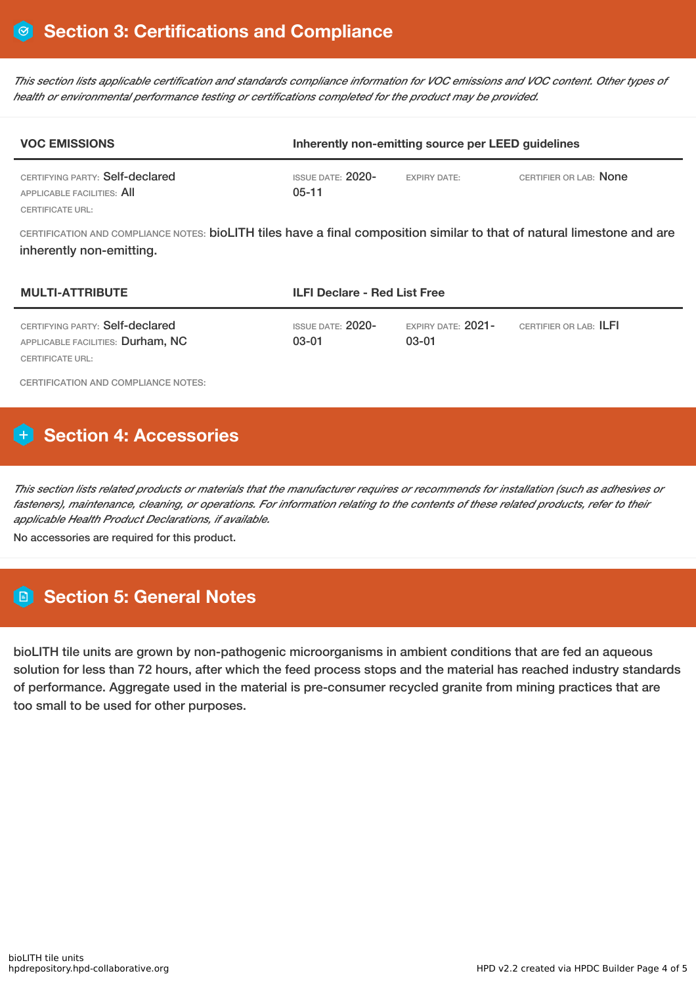This section lists applicable certification and standards compliance information for VOC emissions and VOC content. Other types of *health or environmental performance testing or certifications completed for the product may be provided.*

| <b>VOC EMISSIONS</b>                                                              | Inherently non-emitting source per LEED guidelines |                     |                        |
|-----------------------------------------------------------------------------------|----------------------------------------------------|---------------------|------------------------|
| CERTIFYING PARTY: Self-declared<br>APPLICABLE FACILITIES: AII<br>CERTIFICATE URL: | ISSUE DATE: $2020-$<br>$05-11$                     | <b>EXPIRY DATE:</b> | CERTIFIER OR LAB: None |

CERTIFICATION AND COMPLIANCE NOTES: bioLITH tiles have a final composition similar to that of natural limestone and are inherently non-emitting.

| <b>MULTI-ATTRIBUTE</b>                                                                   | <b>ILFI Declare - Red List Free</b> |                               |                        |
|------------------------------------------------------------------------------------------|-------------------------------------|-------------------------------|------------------------|
| CERTIFYING PARTY: Self-declared<br>APPLICABLE FACILITIES: Durham, NC<br>CERTIFICATE URL: | ISSUE DATE: $2020-$<br>03-01        | EXPIRY DATE: $2021-$<br>03-01 | CERTIFIER OR LAB: ILFI |

CERTIFICATION AND COMPLIANCE NOTES:

# **H** Section 4: Accessories

This section lists related products or materials that the manufacturer requires or recommends for installation (such as adhesives or fasteners), maintenance, cleaning, or operations. For information relating to the contents of these related products, refer to their *applicable Health Product Declarations, if available.*

No accessories are required for this product.

# **Section 5: General Notes**

bioLITH tile units are grown by non-pathogenic microorganisms in ambient conditions that are fed an aqueous solution for less than 72 hours, after which the feed process stops and the material has reached industry standards of performance. Aggregate used in the material is pre-consumer recycled granite from mining practices that are too small to be used for other purposes.